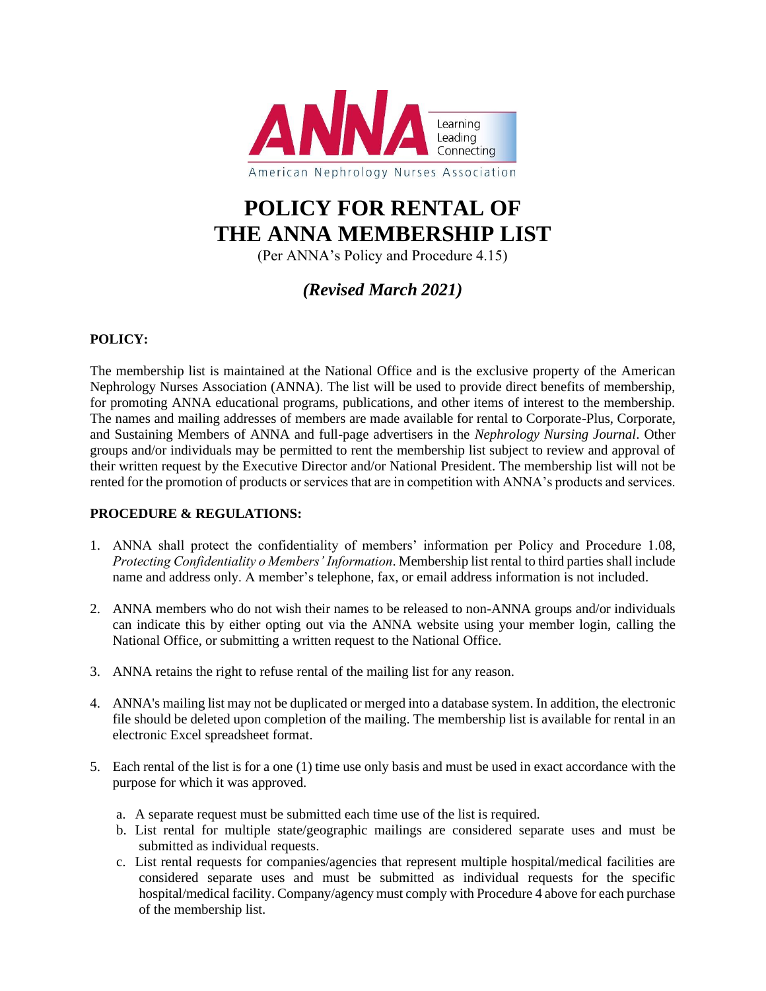

# **POLICY FOR RENTAL OF THE ANNA MEMBERSHIP LIST**

(Per ANNA's Policy and Procedure 4.15)

### *(Revised March 2021)*

#### **POLICY:**

The membership list is maintained at the National Office and is the exclusive property of the American Nephrology Nurses Association (ANNA). The list will be used to provide direct benefits of membership, for promoting ANNA educational programs, publications, and other items of interest to the membership. The names and mailing addresses of members are made available for rental to Corporate-Plus, Corporate, and Sustaining Members of ANNA and full-page advertisers in the *Nephrology Nursing Journal*. Other groups and/or individuals may be permitted to rent the membership list subject to review and approval of their written request by the Executive Director and/or National President. The membership list will not be rented for the promotion of products or services that are in competition with ANNA's products and services.

#### **PROCEDURE & REGULATIONS:**

- 1. ANNA shall protect the confidentiality of members' information per Policy and Procedure 1.08, *Protecting Confidentiality o Members' Information*. Membership list rental to third parties shall include name and address only. A member's telephone, fax, or email address information is not included.
- 2. ANNA members who do not wish their names to be released to non-ANNA groups and/or individuals can indicate this by either opting out via the ANNA website using your member login, calling the National Office, or submitting a written request to the National Office.
- 3. ANNA retains the right to refuse rental of the mailing list for any reason.
- 4. ANNA's mailing list may not be duplicated or merged into a database system. In addition, the electronic file should be deleted upon completion of the mailing. The membership list is available for rental in an electronic Excel spreadsheet format.
- 5. Each rental of the list is for a one (1) time use only basis and must be used in exact accordance with the purpose for which it was approved.
	- a. A separate request must be submitted each time use of the list is required.
	- b. List rental for multiple state/geographic mailings are considered separate uses and must be submitted as individual requests.
	- c. List rental requests for companies/agencies that represent multiple hospital/medical facilities are considered separate uses and must be submitted as individual requests for the specific hospital/medical facility. Company/agency must comply with Procedure 4 above for each purchase of the membership list.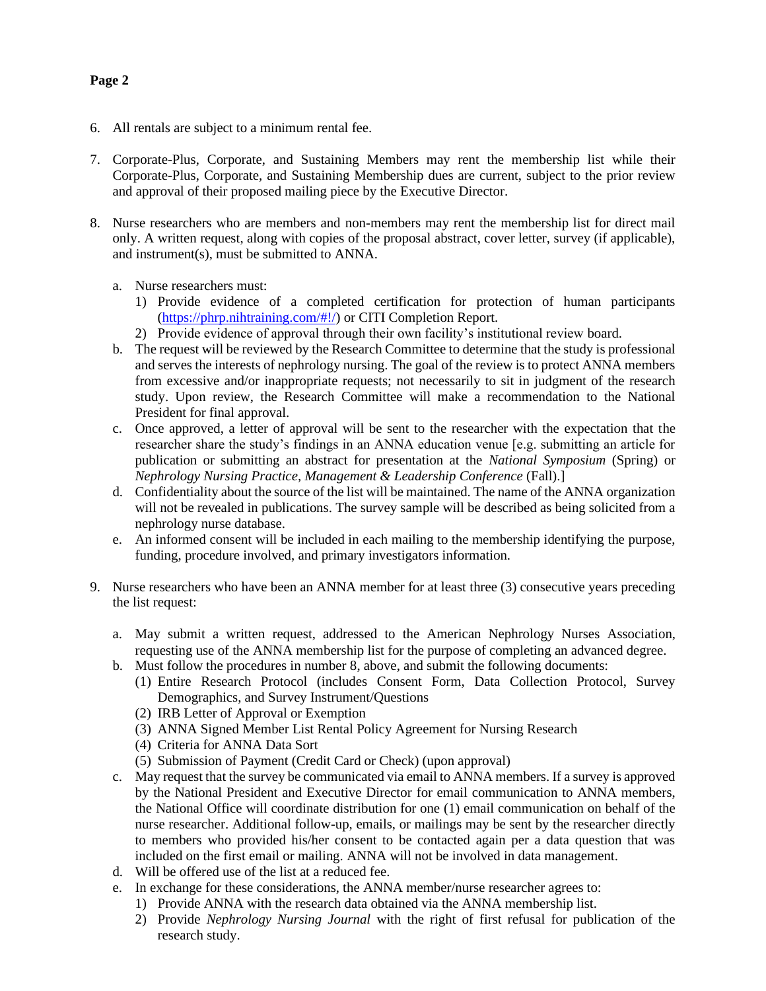#### **Page 2**

- 6. All rentals are subject to a minimum rental fee.
- 7. Corporate-Plus, Corporate, and Sustaining Members may rent the membership list while their Corporate-Plus, Corporate, and Sustaining Membership dues are current, subject to the prior review and approval of their proposed mailing piece by the Executive Director.
- 8. Nurse researchers who are members and non-members may rent the membership list for direct mail only. A written request, along with copies of the proposal abstract, cover letter, survey (if applicable), and instrument(s), must be submitted to ANNA.
	- a. Nurse researchers must:
		- 1) Provide evidence of a completed certification for protection of human participants [\(https://phrp.nihtraining.com/#!/\)](https://phrp.nihtraining.com/#!/) or CITI Completion Report.
		- 2) Provide evidence of approval through their own facility's institutional review board.
	- b. The request will be reviewed by the Research Committee to determine that the study is professional and serves the interests of nephrology nursing. The goal of the review is to protect ANNA members from excessive and/or inappropriate requests; not necessarily to sit in judgment of the research study. Upon review, the Research Committee will make a recommendation to the National President for final approval.
	- c. Once approved, a letter of approval will be sent to the researcher with the expectation that the researcher share the study's findings in an ANNA education venue [e.g. submitting an article for publication or submitting an abstract for presentation at the *National Symposium* (Spring) or *Nephrology Nursing Practice, Management & Leadership Conference* (Fall).]
	- d. Confidentiality about the source of the list will be maintained. The name of the ANNA organization will not be revealed in publications. The survey sample will be described as being solicited from a nephrology nurse database.
	- e. An informed consent will be included in each mailing to the membership identifying the purpose, funding, procedure involved, and primary investigators information.
- 9. Nurse researchers who have been an ANNA member for at least three (3) consecutive years preceding the list request:
	- a. May submit a written request, addressed to the American Nephrology Nurses Association, requesting use of the ANNA membership list for the purpose of completing an advanced degree.
	- b. Must follow the procedures in number 8, above, and submit the following documents:
		- (1) Entire Research Protocol (includes Consent Form, Data Collection Protocol, Survey Demographics, and Survey Instrument/Questions
		- (2) IRB Letter of Approval or Exemption
		- (3) ANNA Signed Member List Rental Policy Agreement for Nursing Research
		- (4) Criteria for ANNA Data Sort
		- (5) Submission of Payment (Credit Card or Check) (upon approval)
	- c. May request that the survey be communicated via email to ANNA members. If a survey is approved by the National President and Executive Director for email communication to ANNA members, the National Office will coordinate distribution for one (1) email communication on behalf of the nurse researcher. Additional follow-up, emails, or mailings may be sent by the researcher directly to members who provided his/her consent to be contacted again per a data question that was included on the first email or mailing. ANNA will not be involved in data management.
	- d. Will be offered use of the list at a reduced fee.
	- e. In exchange for these considerations, the ANNA member/nurse researcher agrees to:
		- 1) Provide ANNA with the research data obtained via the ANNA membership list.
		- 2) Provide *Nephrology Nursing Journal* with the right of first refusal for publication of the research study.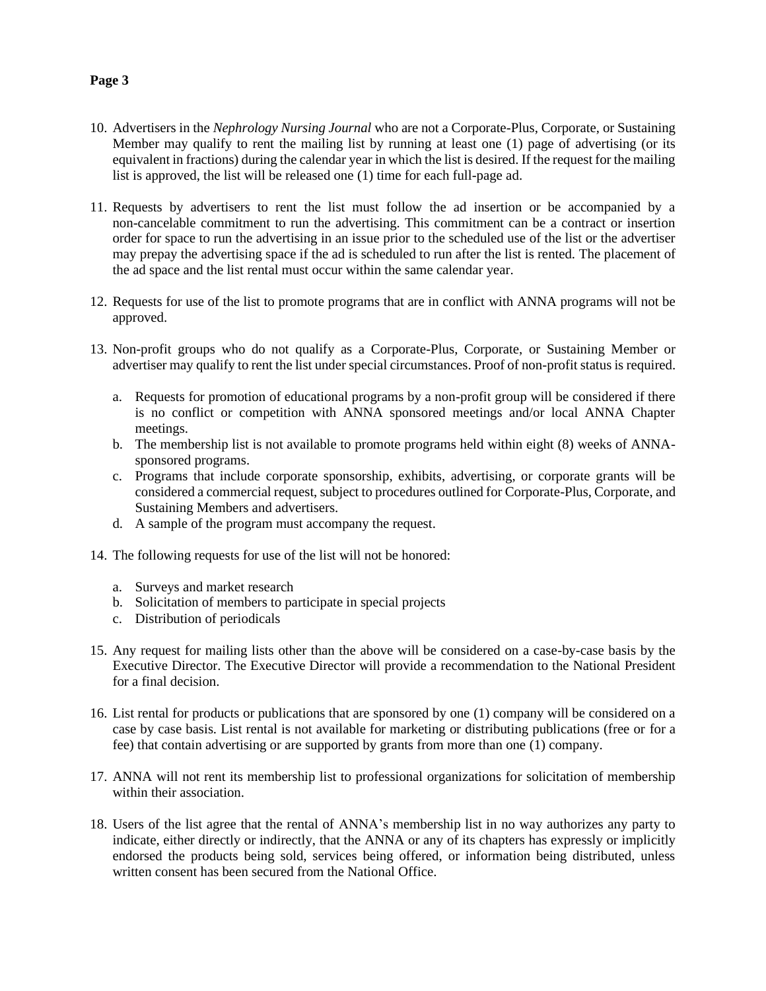#### **Page 3**

- 10. Advertisers in the *Nephrology Nursing Journal* who are not a Corporate-Plus, Corporate, or Sustaining Member may qualify to rent the mailing list by running at least one (1) page of advertising (or its equivalent in fractions) during the calendar year in which the list is desired. If the request for the mailing list is approved, the list will be released one (1) time for each full-page ad.
- 11. Requests by advertisers to rent the list must follow the ad insertion or be accompanied by a non-cancelable commitment to run the advertising. This commitment can be a contract or insertion order for space to run the advertising in an issue prior to the scheduled use of the list or the advertiser may prepay the advertising space if the ad is scheduled to run after the list is rented. The placement of the ad space and the list rental must occur within the same calendar year.
- 12. Requests for use of the list to promote programs that are in conflict with ANNA programs will not be approved.
- 13. Non-profit groups who do not qualify as a Corporate-Plus, Corporate, or Sustaining Member or advertiser may qualify to rent the list under special circumstances. Proof of non-profit status is required.
	- a. Requests for promotion of educational programs by a non-profit group will be considered if there is no conflict or competition with ANNA sponsored meetings and/or local ANNA Chapter meetings.
	- b. The membership list is not available to promote programs held within eight (8) weeks of ANNAsponsored programs.
	- c. Programs that include corporate sponsorship, exhibits, advertising, or corporate grants will be considered a commercial request, subject to procedures outlined for Corporate-Plus, Corporate, and Sustaining Members and advertisers.
	- d. A sample of the program must accompany the request.
- 14. The following requests for use of the list will not be honored:
	- a. Surveys and market research
	- b. Solicitation of members to participate in special projects
	- c. Distribution of periodicals
- 15. Any request for mailing lists other than the above will be considered on a case-by-case basis by the Executive Director. The Executive Director will provide a recommendation to the National President for a final decision.
- 16. List rental for products or publications that are sponsored by one (1) company will be considered on a case by case basis. List rental is not available for marketing or distributing publications (free or for a fee) that contain advertising or are supported by grants from more than one (1) company.
- 17. ANNA will not rent its membership list to professional organizations for solicitation of membership within their association.
- 18. Users of the list agree that the rental of ANNA's membership list in no way authorizes any party to indicate, either directly or indirectly, that the ANNA or any of its chapters has expressly or implicitly endorsed the products being sold, services being offered, or information being distributed, unless written consent has been secured from the National Office.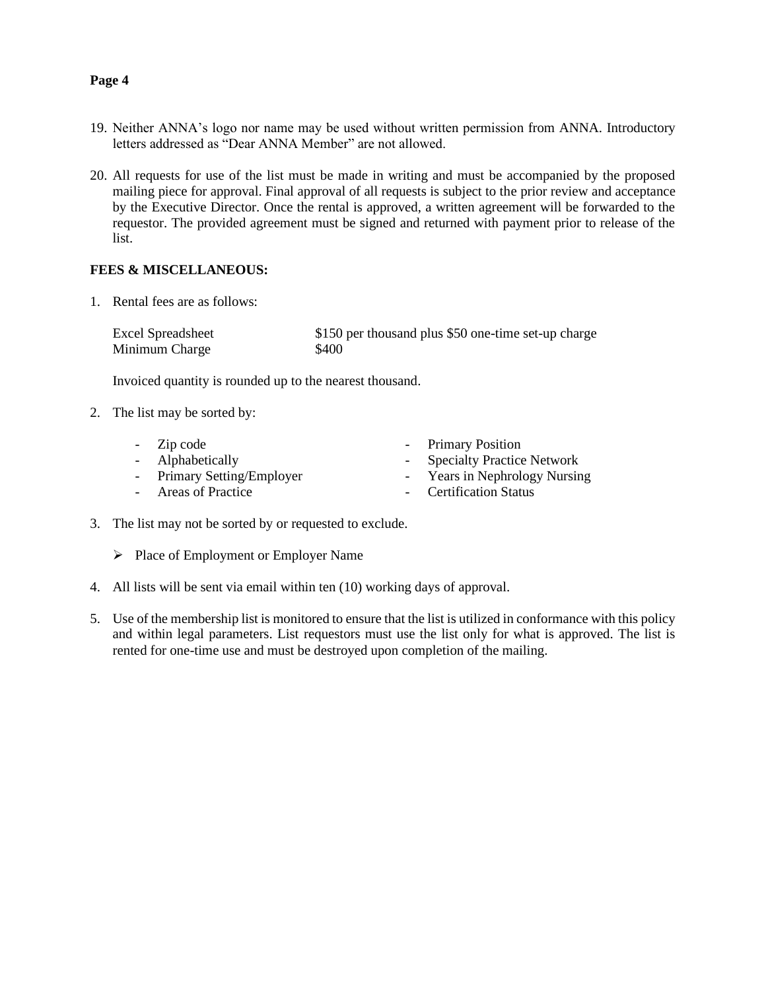#### **Page 4**

- 19. Neither ANNA's logo nor name may be used without written permission from ANNA. Introductory letters addressed as "Dear ANNA Member" are not allowed.
- 20. All requests for use of the list must be made in writing and must be accompanied by the proposed mailing piece for approval. Final approval of all requests is subject to the prior review and acceptance by the Executive Director. Once the rental is approved, a written agreement will be forwarded to the requestor. The provided agreement must be signed and returned with payment prior to release of the list.

#### **FEES & MISCELLANEOUS:**

1. Rental fees are as follows:

Excel Spreadsheet \$150 per thousand plus \$50 one-time set-up charge Minimum Charge  $$400$ 

Invoiced quantity is rounded up to the nearest thousand.

2. The list may be sorted by:

| - Zip code                 | - Primary Position            |
|----------------------------|-------------------------------|
| - Alphabetically           | - Specialty Practice Network  |
| - Primary Setting/Employer | - Years in Nephrology Nursing |
| - Areas of Practice        | - Certification Status        |

- 3. The list may not be sorted by or requested to exclude.
	- ➢ Place of Employment or Employer Name
- 4. All lists will be sent via email within ten (10) working days of approval.
- 5. Use of the membership list is monitored to ensure that the list is utilized in conformance with this policy and within legal parameters. List requestors must use the list only for what is approved. The list is rented for one-time use and must be destroyed upon completion of the mailing.